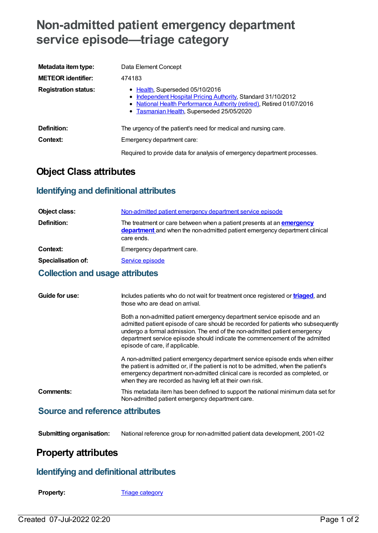# **Non-admitted patient emergency department service episode—triage category**

| Metadata item type:         | Data Element Concept                                                                                                                                                                                                   |
|-----------------------------|------------------------------------------------------------------------------------------------------------------------------------------------------------------------------------------------------------------------|
| <b>METEOR identifier:</b>   | 474183                                                                                                                                                                                                                 |
| <b>Registration status:</b> | • Health, Superseded 05/10/2016<br>• Independent Hospital Pricing Authority, Standard 31/10/2012<br>• National Health Performance Authority (retired), Retired 01/07/2016<br>• Tasmanian Health, Superseded 25/05/2020 |
| Definition:                 | The urgency of the patient's need for medical and nursing care.                                                                                                                                                        |
| Context:                    | Emergency department care:                                                                                                                                                                                             |
|                             | Required to provide data for analysis of emergency department processes.                                                                                                                                               |

## **Object Class attributes**

### **Identifying and definitional attributes**

| Object class:             | Non-admitted patient emergency department service episode                                                                                                                |
|---------------------------|--------------------------------------------------------------------------------------------------------------------------------------------------------------------------|
| Definition:               | The treatment or care between when a patient presents at an <b>emergency</b><br>department and when the non-admitted patient emergency department clinical<br>care ends. |
| Context:                  | Emergency department care.                                                                                                                                               |
| <b>Specialisation of:</b> | Service episode                                                                                                                                                          |
|                           |                                                                                                                                                                          |

#### **Collection and usage attributes**

| Guide for use:                            | Includes patients who do not wait for treatment once registered or <b>triaged</b> , and<br>those who are dead on arrival.                                                                                                                                                                                                                                   |
|-------------------------------------------|-------------------------------------------------------------------------------------------------------------------------------------------------------------------------------------------------------------------------------------------------------------------------------------------------------------------------------------------------------------|
|                                           | Both a non-admitted patient emergency department service episode and an<br>admitted patient episode of care should be recorded for patients who subsequently<br>undergo a formal admission. The end of the non-admitted patient emergency<br>department service episode should indicate the commencement of the admitted<br>episode of care, if applicable. |
|                                           | A non-admitted patient emergency department service episode ends when either<br>the patient is admitted or, if the patient is not to be admitted, when the patient's<br>emergency department non-admitted clinical care is recorded as completed, or<br>when they are recorded as having left at their own risk.                                            |
| Comments:                                 | This metadata item has been defined to support the national minimum data set for<br>Non-admitted patient emergency department care.                                                                                                                                                                                                                         |
| <b>Course and reference officialities</b> |                                                                                                                                                                                                                                                                                                                                                             |

#### **Source and reference attributes**

**Submitting organisation:** National reference group for non-admitted patient data development, 2001-02

# **Property attributes**

#### **Identifying and definitional attributes**

**Property:** Triage [category](https://meteor.aihw.gov.au/content/269109)